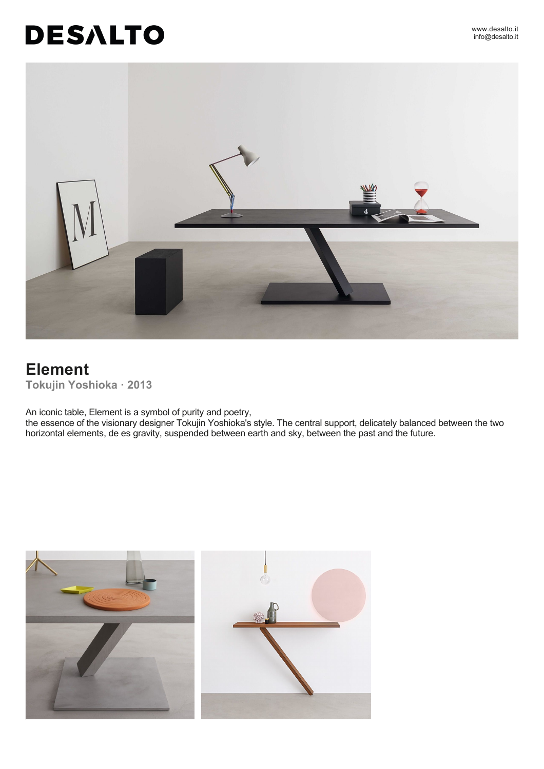#### www.desalto.it info@desalto.it

# **DESALTO**



# **Element Tokujin Yoshioka · 2013**

An iconic table, Element is a symbol of purity and poetry,

the essence of the visionary designer Tokujin Yoshioka's style. The central support, delicately balanced between the two horizontal elements, de es gravity, suspended between earth and sky, between the past and the future.

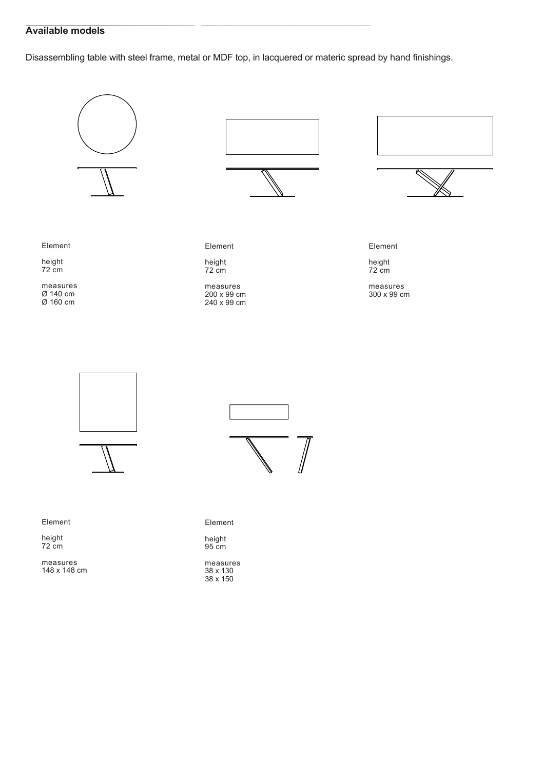## **Available models**

Disassembling table with steel frame, metal or MDF top, in lacquered or materic spread by hand finishings.





Element

height 72 cm

measures 148 x 148 cm



Element

height 95 cm

measures 38 x 130 38 x 150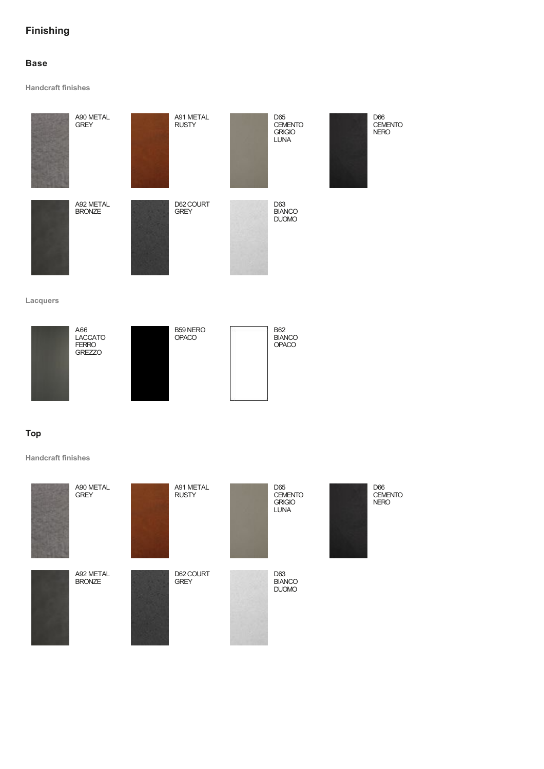## **Finishing**

## **Base**

**Handcraft finishes**



**Lacquers**



### **Top**

**Handcraft finishes**

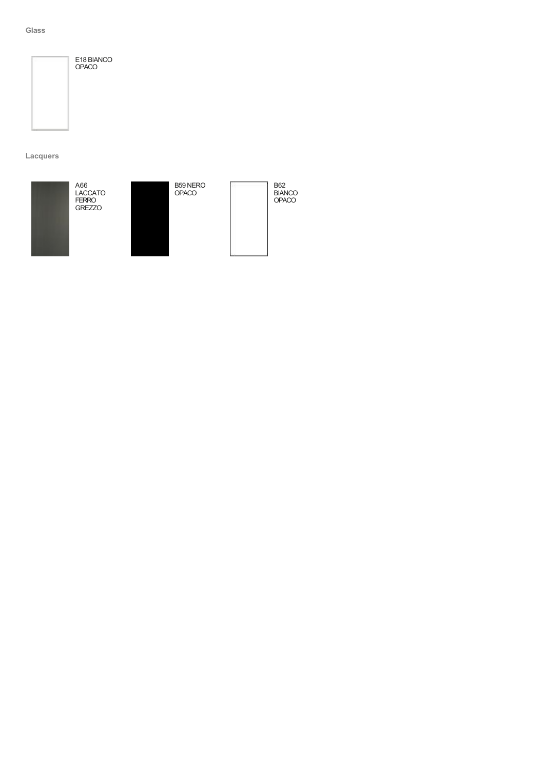#### **Glass**



E18 BIANCO OPACO

**Lacquers**